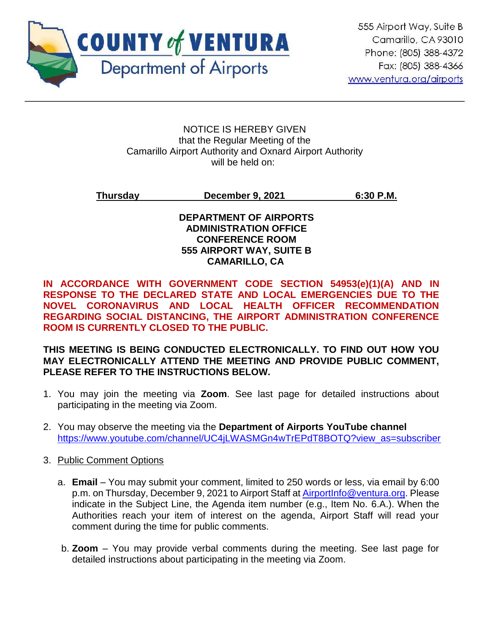

#### NOTICE IS HEREBY GIVEN that the Regular Meeting of the Camarillo Airport Authority and Oxnard Airport Authority will be held on:

## **Thursday December 9, 2021 6:30 P.M.**

## **DEPARTMENT OF AIRPORTS ADMINISTRATION OFFICE CONFERENCE ROOM 555 AIRPORT WAY, SUITE B CAMARILLO, CA**

**IN ACCORDANCE WITH GOVERNMENT CODE SECTION 54953(e)(1)(A) AND IN RESPONSE TO THE DECLARED STATE AND LOCAL EMERGENCIES DUE TO THE NOVEL CORONAVIRUS AND LOCAL HEALTH OFFICER RECOMMENDATION REGARDING SOCIAL DISTANCING, THE AIRPORT ADMINISTRATION CONFERENCE ROOM IS CURRENTLY CLOSED TO THE PUBLIC.** 

## **THIS MEETING IS BEING CONDUCTED ELECTRONICALLY. TO FIND OUT HOW YOU MAY ELECTRONICALLY ATTEND THE MEETING AND PROVIDE PUBLIC COMMENT, PLEASE REFER TO THE INSTRUCTIONS BELOW.**

- 1. You may join the meeting via **Zoom**. See last page for detailed instructions about participating in the meeting via Zoom.
- 2. You may observe the meeting via the **Department of Airports YouTube channel** [https://www.youtube.com/channel/UC4jLWASMGn4wTrEPdT8BOTQ?view\\_as=subscriber](https://www.youtube.com/channel/UC4jLWASMGn4wTrEPdT8BOTQ?view_as=subscriber)

## 3. Public Comment Options

- a. **Email**  You may submit your comment, limited to 250 words or less, via email by 6:00 p.m. on Thursday, December 9, 2021 to Airport Staff at [AirportInfo@ventura.org.](mailto:AirportInfo@ventura.org) Please indicate in the Subject Line, the Agenda item number (e.g., Item No. 6.A.). When the Authorities reach your item of interest on the agenda, Airport Staff will read your comment during the time for public comments.
- b. **Zoom** You may provide verbal comments during the meeting. See last page for detailed instructions about participating in the meeting via Zoom.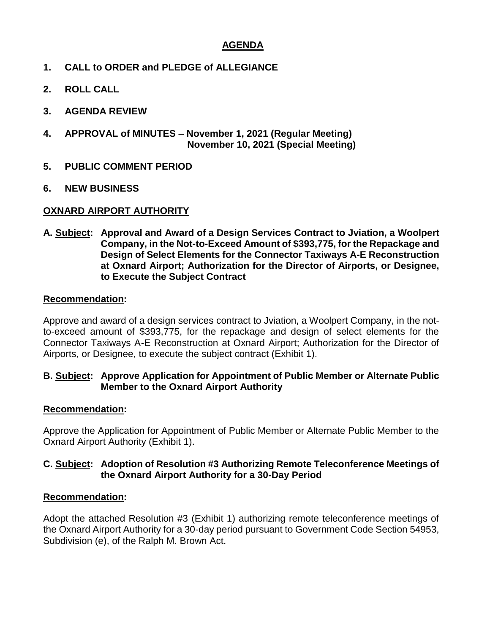## **AGENDA**

- **1. CALL to ORDER and PLEDGE of ALLEGIANCE**
- **2. ROLL CALL**
- **3. AGENDA REVIEW**
- **4. APPROVAL of MINUTES – November 1, 2021 (Regular Meeting) November 10, 2021 (Special Meeting)**
- **5. PUBLIC COMMENT PERIOD**
- **6. NEW BUSINESS**

## **OXNARD AIRPORT AUTHORITY**

**A. Subject: Approval and Award of a Design Services Contract to Jviation, a Woolpert Company, in the Not-to-Exceed Amount of \$393,775, for the Repackage and Design of Select Elements for the Connector Taxiways A-E Reconstruction at Oxnard Airport; Authorization for the Director of Airports, or Designee, to Execute the Subject Contract**

#### **Recommendation:**

Approve and award of a design services contract to Jviation, a Woolpert Company, in the notto-exceed amount of \$393,775, for the repackage and design of select elements for the Connector Taxiways A-E Reconstruction at Oxnard Airport; Authorization for the Director of Airports, or Designee, to execute the subject contract (Exhibit 1).

#### **B. Subject: Approve Application for Appointment of Public Member or Alternate Public Member to the Oxnard Airport Authority**

#### **Recommendation:**

Approve the Application for Appointment of Public Member or Alternate Public Member to the Oxnard Airport Authority (Exhibit 1).

## **C. Subject: Adoption of Resolution #3 Authorizing Remote Teleconference Meetings of the Oxnard Airport Authority for a 30-Day Period**

#### **Recommendation:**

Adopt the attached Resolution #3 (Exhibit 1) authorizing remote teleconference meetings of the Oxnard Airport Authority for a 30-day period pursuant to Government Code Section 54953, Subdivision (e), of the Ralph M. Brown Act.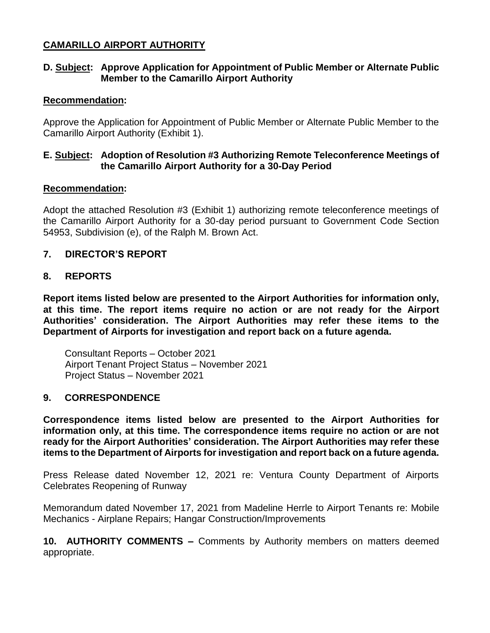## **CAMARILLO AIRPORT AUTHORITY**

## **D. Subject: Approve Application for Appointment of Public Member or Alternate Public Member to the Camarillo Airport Authority**

## **Recommendation:**

Approve the Application for Appointment of Public Member or Alternate Public Member to the Camarillo Airport Authority (Exhibit 1).

## **E. Subject: Adoption of Resolution #3 Authorizing Remote Teleconference Meetings of the Camarillo Airport Authority for a 30-Day Period**

## **Recommendation:**

Adopt the attached Resolution #3 (Exhibit 1) authorizing remote teleconference meetings of the Camarillo Airport Authority for a 30-day period pursuant to Government Code Section 54953, Subdivision (e), of the Ralph M. Brown Act.

## **7. DIRECTOR'S REPORT**

## **8. REPORTS**

**Report items listed below are presented to the Airport Authorities for information only, at this time. The report items require no action or are not ready for the Airport Authorities' consideration. The Airport Authorities may refer these items to the Department of Airports for investigation and report back on a future agenda.** 

Consultant Reports – October 2021 Airport Tenant Project Status – November 2021 Project Status – November 2021

## **9. CORRESPONDENCE**

**Correspondence items listed below are presented to the Airport Authorities for information only, at this time. The correspondence items require no action or are not ready for the Airport Authorities' consideration. The Airport Authorities may refer these items to the Department of Airports for investigation and report back on a future agenda.** 

Press Release dated November 12, 2021 re: Ventura County Department of Airports Celebrates Reopening of Runway

Memorandum dated November 17, 2021 from Madeline Herrle to Airport Tenants re: Mobile Mechanics - Airplane Repairs; Hangar Construction/Improvements

**10. AUTHORITY COMMENTS –** Comments by Authority members on matters deemed appropriate.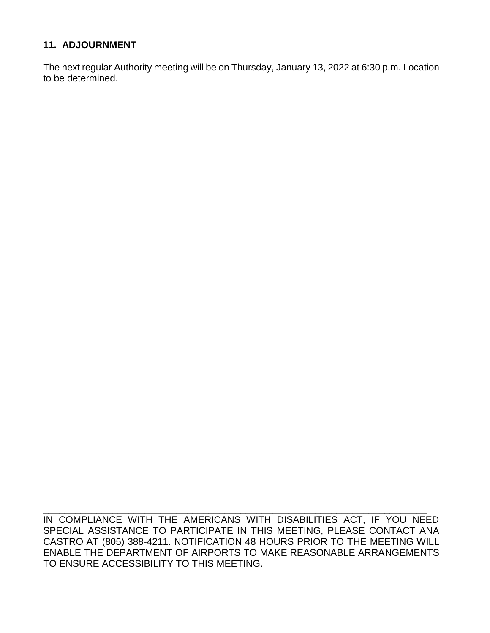## **11. ADJOURNMENT**

The next regular Authority meeting will be on Thursday, January 13, 2022 at 6:30 p.m. Location to be determined.

IN COMPLIANCE WITH THE AMERICANS WITH DISABILITIES ACT, IF YOU NEED SPECIAL ASSISTANCE TO PARTICIPATE IN THIS MEETING, PLEASE CONTACT ANA CASTRO AT (805) 388-4211. NOTIFICATION 48 HOURS PRIOR TO THE MEETING WILL ENABLE THE DEPARTMENT OF AIRPORTS TO MAKE REASONABLE ARRANGEMENTS TO ENSURE ACCESSIBILITY TO THIS MEETING.

\_\_\_\_\_\_\_\_\_\_\_\_\_\_\_\_\_\_\_\_\_\_\_\_\_\_\_\_\_\_\_\_\_\_\_\_\_\_\_\_\_\_\_\_\_\_\_\_\_\_\_\_\_\_\_\_\_\_\_\_\_\_\_\_\_\_\_\_\_\_\_\_